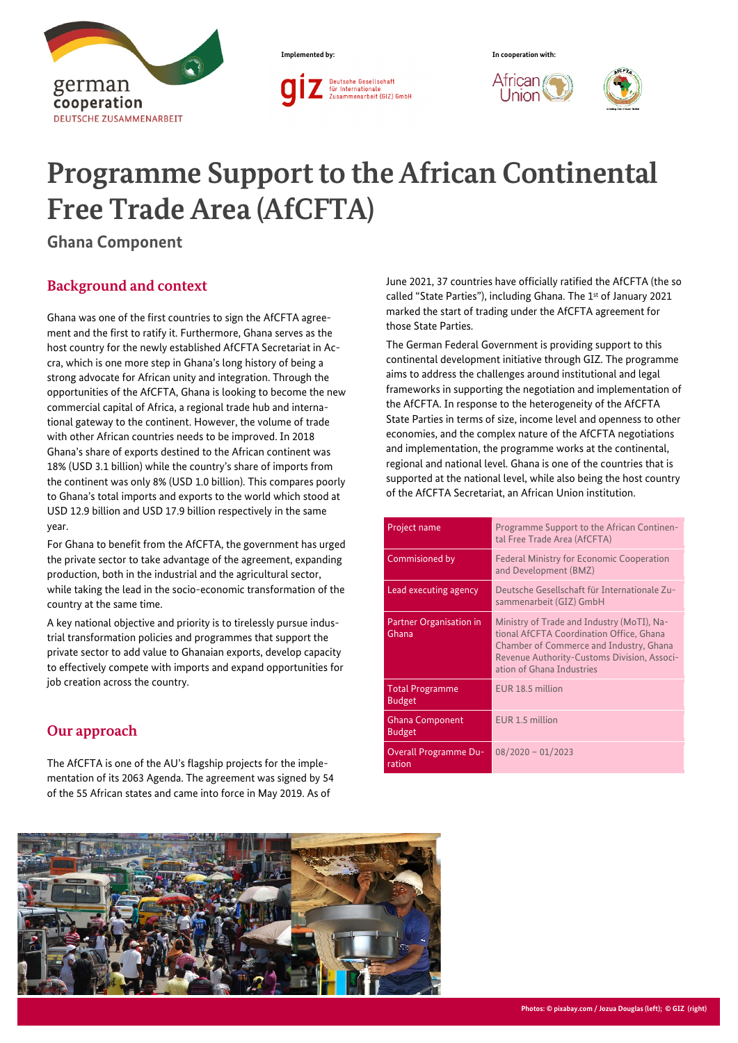



l Jnion



# **Programme Support to the African Continental Free Trade Area (AfCFTA)**

**Ghana Component**

### **Background and context**

Ghana was one of the first countries to sign the AfCFTA agreement and the first to ratify it. Furthermore, Ghana serves as the host country for the newly established AfCFTA Secretariat in Accra, which is one more step in Ghana's long history of being a strong advocate for African unity and integration. Through the opportunities of the AfCFTA, Ghana is looking to become the new commercial capital of Africa, a regional trade hub and international gateway to the continent. However, the volume of trade with other African countries needs to be improved. In 2018 Ghana's share of exports destined to the African continent was 18% (USD 3.1 billion) while the country's share of imports from the continent was only 8% (USD 1.0 billion). This compares poorly to Ghana's total imports and exports to the world which stood at USD 12.9 billion and USD 17.9 billion respectively in the same year.

For Ghana to benefit from the AfCFTA, the government has urged the private sector to take advantage of the agreement, expanding production, both in the industrial and the agricultural sector, while taking the lead in the socio-economic transformation of the country at the same time.

A key national objective and priority is to tirelessly pursue industrial transformation policies and programmes that support the private sector to add value to Ghanaian exports, develop capacity to effectively compete with imports and expand opportunities for job creation across the country.

# **Our approach**

The AfCFTA is one of the AU's flagship projects for the implementation of its 2063 Agenda. The agreement was signed by 54 of the 55 African states and came into force in May 2019. As of

June 2021, 37 countries have officially ratified the AfCFTA (the so called "State Parties"), including Ghana. The 1st of January 2021 marked the start of trading under the AfCFTA agreement for those State Parties.

The German Federal Government is providing support to this continental development initiative through GIZ. The programme aims to address the challenges around institutional and legal frameworks in supporting the negotiation and implementation of the AfCFTA. In response to the heterogeneity of the AfCFTA State Parties in terms of size, income level and openness to other economies, and the complex nature of the AfCFTA negotiations and implementation, the programme works at the continental, regional and national level. Ghana is one of the countries that is supported at the national level, while also being the host country of the AfCFTA Secretariat, an African Union institution.

| Project name                            | Programme Support to the African Continen-<br>tal Free Trade Area (AfCFTA)                                                                                                                                    |  |
|-----------------------------------------|---------------------------------------------------------------------------------------------------------------------------------------------------------------------------------------------------------------|--|
| Commisioned by                          | <b>Federal Ministry for Economic Cooperation</b><br>and Development (BMZ)                                                                                                                                     |  |
| Lead executing agency                   | Deutsche Gesellschaft für Internationale Zu-<br>sammenarbeit (GIZ) GmbH                                                                                                                                       |  |
| <b>Partner Organisation in</b><br>Ghana | Ministry of Trade and Industry (MoTI), Na-<br>tional AfCFTA Coordination Office, Ghana<br>Chamber of Commerce and Industry, Ghana<br>Revenue Authority-Customs Division, Associ-<br>ation of Ghana Industries |  |
| <b>Total Programme</b><br><b>Budget</b> | EUR 18.5 million                                                                                                                                                                                              |  |
| <b>Ghana Component</b><br><b>Budget</b> | EUR 1.5 million                                                                                                                                                                                               |  |
| <b>Overall Programme Du-</b><br>ration  | $08/2020 - 01/2023$                                                                                                                                                                                           |  |